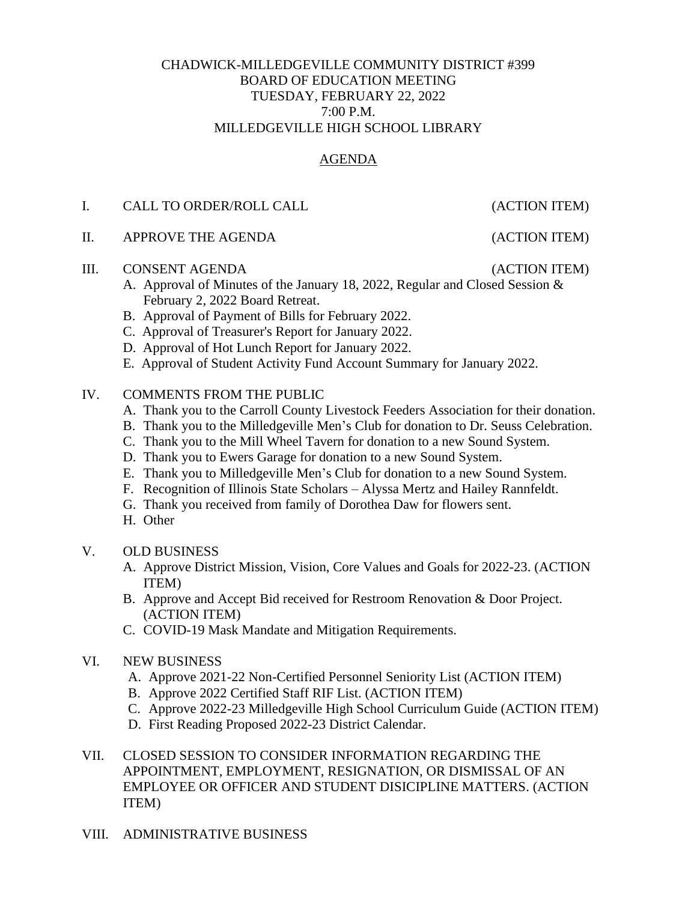#### CHADWICK-MILLEDGEVILLE COMMUNITY DISTRICT #399 BOARD OF EDUCATION MEETING TUESDAY, FEBRUARY 22, 2022 7:00 P.M. MILLEDGEVILLE HIGH SCHOOL LIBRARY

## AGENDA

### I. CALL TO ORDER/ROLL CALL (ACTION ITEM)

II. APPROVE THE AGENDA (ACTION ITEM)

#### III. CONSENT AGENDA (ACTION ITEM)

- A. Approval of Minutes of the January 18, 2022, Regular and Closed Session & February 2, 2022 Board Retreat.
- B. Approval of Payment of Bills for February 2022.
- C. Approval of Treasurer's Report for January 2022.
- D. Approval of Hot Lunch Report for January 2022.
- E. Approval of Student Activity Fund Account Summary for January 2022.

#### IV. COMMENTS FROM THE PUBLIC

- A. Thank you to the Carroll County Livestock Feeders Association for their donation.
- B. Thank you to the Milledgeville Men's Club for donation to Dr. Seuss Celebration.
- C. Thank you to the Mill Wheel Tavern for donation to a new Sound System.
- D. Thank you to Ewers Garage for donation to a new Sound System.
- E. Thank you to Milledgeville Men's Club for donation to a new Sound System.
- F. Recognition of Illinois State Scholars Alyssa Mertz and Hailey Rannfeldt.
- G. Thank you received from family of Dorothea Daw for flowers sent.
- H. Other

#### V. OLD BUSINESS

- A. Approve District Mission, Vision, Core Values and Goals for 2022-23. (ACTION ITEM)
- B. Approve and Accept Bid received for Restroom Renovation & Door Project. (ACTION ITEM)
- C. COVID-19 Mask Mandate and Mitigation Requirements.
- VI. NEW BUSINESS
	- A. Approve 2021-22 Non-Certified Personnel Seniority List (ACTION ITEM)
	- B. Approve 2022 Certified Staff RIF List. (ACTION ITEM)
	- C. Approve 2022-23 Milledgeville High School Curriculum Guide (ACTION ITEM)
	- D. First Reading Proposed 2022-23 District Calendar.
- VII. CLOSED SESSION TO CONSIDER INFORMATION REGARDING THE APPOINTMENT, EMPLOYMENT, RESIGNATION, OR DISMISSAL OF AN EMPLOYEE OR OFFICER AND STUDENT DISICIPLINE MATTERS. (ACTION ITEM)
- VIII. ADMINISTRATIVE BUSINESS